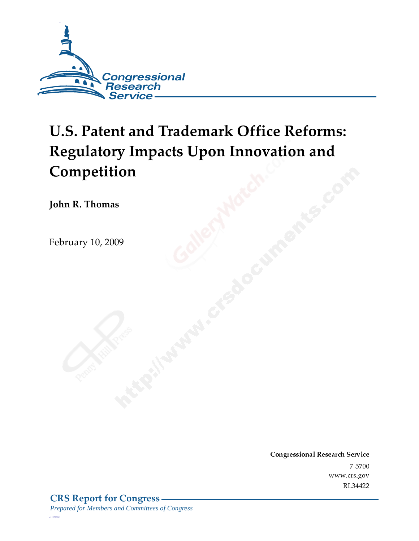

# **U.S. Patent and Trademark Office Reforms: Regulatory Impacts Upon Innovation and Competition**

John R. Thomas

February 10*,* 2009

Conglessional Research Service  $7 - 2700$ www.crs.gov RL34422

*c11173008*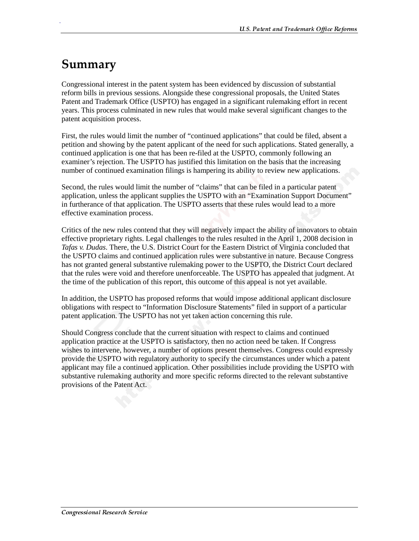# Summary

.

Congressional interest in the patent system has been evidenced by discussion of substantial reform bills in previous sessions. Alongside these congressional proposals, the United States Patent and Trademark Office (USPTO) has engaged in a significant rulemaking effort in recent years. This process culminated in new rules that would make several significant changes to the patent acquisition process.

First, the rules would limit the number of "continued applications" that could be filed, absent a petition and showing by the patent applicant of the need for such applications. Stated generally, a continued application is one that has been re-filed at the USPTO, commonly following an examiner's rejection. The USPTO has justified this limitation on the basis that the increasing number of continued examination filings is hampering its ability to review new applications.

Second, the rules would limit the number of "claims" that can be filed in a particular patent application, unless the applicant supplies the USPTO with an "Examination Support Document" in furtherance of that application. The USPTO asserts that these rules would lead to a more effective examination process.

Critics of the new rules contend that they will negatively impact the ability of innovators to obtain effective proprietary rights. Legal challenges to the rules resulted in the April 1, 2008 decision in *Tafas v. Dudas*. There, the U.S. District Court for the Eastern District of Virginia concluded that the USPTO claims and continued application rules were substantive in nature. Because Congress has not granted general substantive rulemaking power to the USPTO, the District Court declared that the rules were void and therefore unenforceable. The USPTO has appealed that judgment. At the time of the publication of this report, this outcome of this appeal is not yet available.

In addition, the USPTO has proposed reforms that would impose additional applicant disclosure obligations with respect to "Information Disclosure Statements" filed in support of a particular patent application. The USPTO has not yet taken action concerning this rule.

Should Congress conclude that the current situation with respect to claims and continued application practice at the USPTO is satisfactory, then no action need be taken. If Congress wishes to intervene, however, a number of options present themselves. Congress could expressly provide the USPTO with regulatory authority to specify the circumstances under which a patent applicant may file a continued application. Other possibilities include providing the USPTO with substantive rulemaking authority and more specific reforms directed to the relevant substantive provisions of the Patent Act.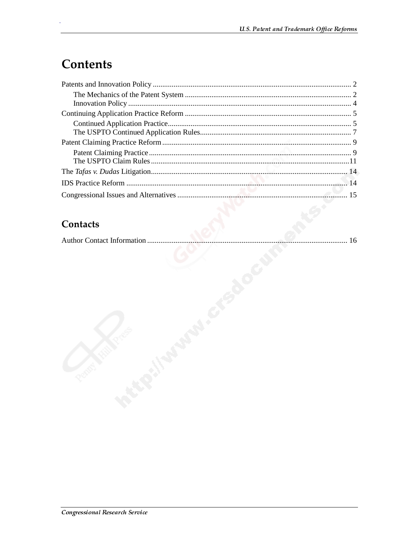# **Contents**

#### Contacts

|--|--|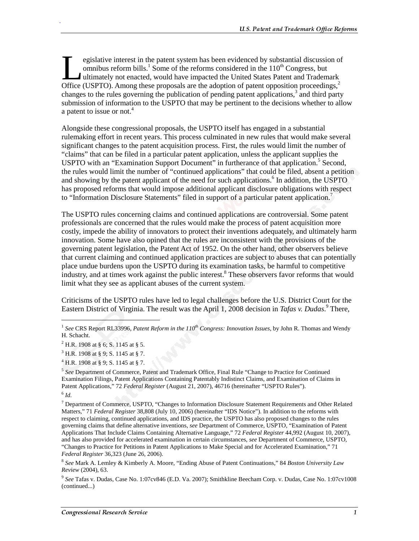egislative interest in the patent system has been evidenced by substantial discussion of omnibus reform bills.<sup>1</sup> Some of the reforms considered in the  $110<sup>th</sup>$  Congress, but ultimately not enacted, would have impacted the United States Patent and Trademark egislative interest in the patent system has been evidenced by substantial discussion of omnibus reform bills.<sup>1</sup> Some of the reforms considered in the  $110^{th}$  Congress, but ultimately not enacted, would have impacted th changes to the rules governing the publication of pending patent applications,<sup>3</sup> and third party submission of information to the USPTO that may be pertinent to the decisions whether to allow a patent to issue or not.<sup>4</sup>

Alongside these congressional proposals, the USPTO itself has engaged in a substantial rulemaking effort in recent years. This process culminated in new rules that would make several significant changes to the patent acquisition process. First, the rules would limit the number of "claims" that can be filed in a particular patent application, unless the applicant supplies the USPTO with an "Examination Support Document" in furtherance of that application.<sup>5</sup> Second, the rules would limit the number of "continued applications" that could be filed, absent a petition and showing by the patent applicant of the need for such applications.<sup>6</sup> In addition, the USPTO has proposed reforms that would impose additional applicant disclosure obligations with respect to "Information Disclosure Statements" filed in support of a particular patent application.<sup>7</sup>

The USPTO rules concerning claims and continued applications are controversial. Some patent professionals are concerned that the rules would make the process of patent acquisition more costly, impede the ability of innovators to protect their inventions adequately, and ultimately harm innovation. Some have also opined that the rules are inconsistent with the provisions of the governing patent legislation, the Patent Act of 1952. On the other hand, other observers believe that current claiming and continued application practices are subject to abuses that can potentially place undue burdens upon the USPTO during its examination tasks, be harmful to competitive industry, and at times work against the public interest.<sup>8</sup> These observers favor reforms that would limit what they see as applicant abuses of the current system.

Criticisms of the USPTO rules have led to legal challenges before the U.S. District Court for the Eastern District of Virginia. The result was the April 1, 2008 decision in *Tafas v. Dudas*.<sup>9</sup> There,

j

<sup>1</sup> *See* CRS Report RL33996, *Patent Reform in the 110th Congress: Innovation Issues*, by John R. Thomas and Wendy H. Schacht.

<sup>&</sup>lt;sup>2</sup> H.R. 1908 at § 6; S. 1145 at § 5.

<sup>&</sup>lt;sup>3</sup> H.R. 1908 at § 9; S. 1145 at § 7.

 $^{4}$  H.R. 1908 at § 9; S. 1145 at § 7.

<sup>5</sup> *See* Department of Commerce, Patent and Trademark Office, Final Rule "Change to Practice for Continued Examination Filings, Patent Applications Containing Patentably Indistinct Claims, and Examination of Claims in Patent Applications," 72 *Federal Register* (August 21, 2007), 46716 (hereinafter "USPTO Rules").

 $^6$   $\mathit{Id}.$ 

<sup>&</sup>lt;sup>7</sup> Department of Commerce, USPTO, "Changes to Information Disclosure Statement Requirements and Other Related Matters," 71 *Federal Register* 38,808 (July 10, 2006) (hereinafter "IDS Notice"). In addition to the reforms with respect to claiming, continued applications, and IDS practice, the USPTO has also proposed changes to the rules governing claims that define alternative inventions, *see* Department of Commerce, USPTO, "Examination of Patent Applications That Include Claims Containing Alternative Language," 72 *Federal Register* 44,992 (August 10, 2007), and has also provided for accelerated examination in certain circumstances, *see* Department of Commerce, USPTO, "Changes to Practice for Petitions in Patent Applications to Make Special and for Accelerated Examination," 71 *Federal Register* 36,323 (June 26, 2006).

<sup>8</sup> *See* Mark A. Lemley & Kimberly A. Moore, "Ending Abuse of Patent Continuations," 84 *Boston University Law Review* (2004), 63.

<sup>9</sup> *See* Tafas v. Dudas, Case No. 1:07cv846 (E.D. Va. 2007); Smithkline Beecham Corp. v. Dudas, Case No. 1:07cv1008 (continued...)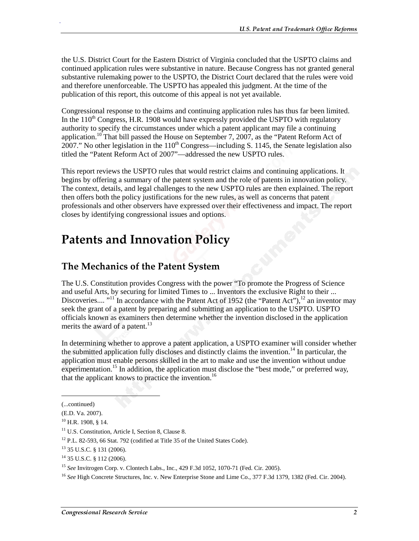the U.S. District Court for the Eastern District of Virginia concluded that the USPTO claims and continued application rules were substantive in nature. Because Congress has not granted general substantive rulemaking power to the USPTO, the District Court declared that the rules were void and therefore unenforceable. The USPTO has appealed this judgment. At the time of the publication of this report, this outcome of this appeal is not yet available.

Congressional response to the claims and continuing application rules has thus far been limited. In the  $110^{th}$  Congress, H.R. 1908 would have expressly provided the USPTO with regulatory authority to specify the circumstances under which a patent applicant may file a continuing application.<sup>10</sup> That bill passed the House on September 7, 2007, as the "Patent Reform Act of 2007." No other legislation in the  $110<sup>th</sup>$  Congress—including S. 1145, the Senate legislation also titled the "Patent Reform Act of 2007"—addressed the new USPTO rules.

This report reviews the USPTO rules that would restrict claims and continuing applications. It begins by offering a summary of the patent system and the role of patents in innovation policy. The context, details, and legal challenges to the new USPTO rules are then explained. The report then offers both the policy justifications for the new rules, as well as concerns that patent professionals and other observers have expressed over their effectiveness and impact. The report closes by identifying congressional issues and options.

### **Patents and Innovation Policy**

#### The Mechanics of the Patent System

The U.S. Constitution provides Congress with the power "To promote the Progress of Science and useful Arts, by securing for limited Times to ... Inventors the exclusive Right to their ... Discoveries.... "<sup>11</sup> In accordance with the Patent Act of 1952 (the "Patent Act"), <sup>12</sup> an inventor may seek the grant of a patent by preparing and submitting an application to the USPTO. USPTO officials known as examiners then determine whether the invention disclosed in the application merits the award of a patent.<sup>13</sup>

In determining whether to approve a patent application, a USPTO examiner will consider whether the submitted application fully discloses and distinctly claims the invention.14 In particular, the application must enable persons skilled in the art to make and use the invention without undue experimentation.<sup>15</sup> In addition, the application must disclose the "best mode," or preferred way, that the applicant knows to practice the invention.<sup>16</sup>

 $\overline{a}$ 

<sup>(...</sup>continued)

<sup>(</sup>E.D. Va. 2007).

 $10$  H.R. 1908, § 14.

<sup>&</sup>lt;sup>11</sup> U.S. Constitution, Article I, Section 8, Clause 8.

<sup>&</sup>lt;sup>12</sup> P.L. 82-593, 66 Stat. 792 (codified at Title 35 of the United States Code).

<sup>13 35</sup> U.S.C. § 131 (2006).

<sup>14 35</sup> U.S.C. § 112 (2006).

<sup>15</sup> *See* Invitrogen Corp. v. Clontech Labs., Inc., 429 F.3d 1052, 1070-71 (Fed. Cir. 2005).

<sup>16</sup> *See* High Concrete Structures, Inc. v. New Enterprise Stone and Lime Co., 377 F.3d 1379, 1382 (Fed. Cir. 2004).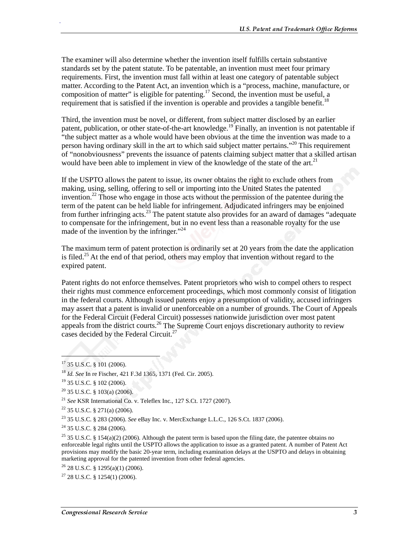The examiner will also determine whether the invention itself fulfills certain substantive standards set by the patent statute. To be patentable, an invention must meet four primary requirements. First, the invention must fall within at least one category of patentable subject matter. According to the Patent Act, an invention which is a "process, machine, manufacture, or composition of matter" is eligible for patenting.<sup>17</sup> Second, the invention must be useful, a requirement that is satisfied if the invention is operable and provides a tangible benefit.<sup>18</sup>

Third, the invention must be novel, or different, from subject matter disclosed by an earlier patent, publication, or other state-of-the-art knowledge.<sup>19</sup> Finally, an invention is not patentable if "the subject matter as a whole would have been obvious at the time the invention was made to a person having ordinary skill in the art to which said subject matter pertains."20 This requirement of "nonobviousness" prevents the issuance of patents claiming subject matter that a skilled artisan would have been able to implement in view of the knowledge of the state of the art.<sup>21</sup>

If the USPTO allows the patent to issue, its owner obtains the right to exclude others from making, using, selling, offering to sell or importing into the United States the patented invention.<sup>22</sup> Those who engage in those acts without the permission of the patentee during the term of the patent can be held liable for infringement. Adjudicated infringers may be enjoined from further infringing acts.<sup>23</sup> The patent statute also provides for an award of damages "adequate to compensate for the infringement, but in no event less than a reasonable royalty for the use made of the invention by the infringer."<sup>24</sup>

The maximum term of patent protection is ordinarily set at 20 years from the date the application is filed.<sup>25</sup> At the end of that period, others may employ that invention without regard to the expired patent.

Patent rights do not enforce themselves. Patent proprietors who wish to compel others to respect their rights must commence enforcement proceedings, which most commonly consist of litigation in the federal courts. Although issued patents enjoy a presumption of validity, accused infringers may assert that a patent is invalid or unenforceable on a number of grounds. The Court of Appeals for the Federal Circuit (Federal Circuit) possesses nationwide jurisdiction over most patent appeals from the district courts.<sup>26</sup> The Supreme Court enjoys discretionary authority to review cases decided by the Federal Circuit.<sup>27</sup>

 $\overline{a}$ 

<sup>&</sup>lt;sup>17</sup> 35 U.S.C. § 101 (2006).

<sup>18</sup> *Id. See* In re Fischer, 421 F.3d 1365, 1371 (Fed. Cir. 2005).

 $19$  35 U.S.C. § 102 (2006).

 $20$  35 U.S.C. § 103(a) (2006).

<sup>21</sup> *See* KSR International Co. v. Teleflex Inc., 127 S.Ct. 1727 (2007).

 $22$  35 U.S.C. § 271(a) (2006).

<sup>23 35</sup> U.S.C. § 283 (2006). *See* eBay Inc. v. MercExchange L.L.C., 126 S.Ct. 1837 (2006).

 $24$  35 U.S.C. § 284 (2006).

<sup>&</sup>lt;sup>25</sup> 35 U.S.C. § 154(a)(2) (2006). Although the patent term is based upon the filing date, the patentee obtains no enforceable legal rights until the USPTO allows the application to issue as a granted patent. A number of Patent Act provisions may modify the basic 20-year term, including examination delays at the USPTO and delays in obtaining marketing approval for the patented invention from other federal agencies.

 $26$  28 U.S.C. § 1295(a)(1) (2006).

 $27$  28 U.S.C. § 1254(1) (2006).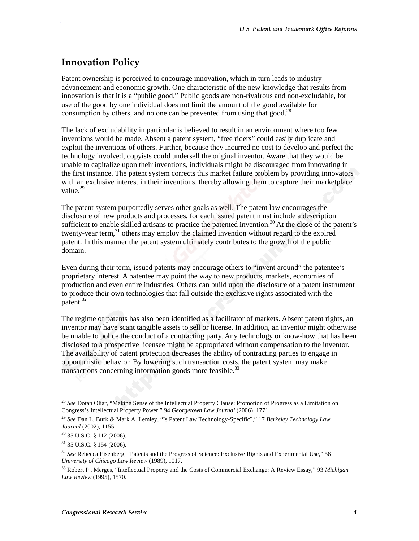#### **Innovation Policy**

.

Patent ownership is perceived to encourage innovation, which in turn leads to industry advancement and economic growth. One characteristic of the new knowledge that results from innovation is that it is a "public good." Public goods are non-rivalrous and non-excludable, for use of the good by one individual does not limit the amount of the good available for consumption by others, and no one can be prevented from using that good.<sup>28</sup>

The lack of excludability in particular is believed to result in an environment where too few inventions would be made. Absent a patent system, "free riders" could easily duplicate and exploit the inventions of others. Further, because they incurred no cost to develop and perfect the technology involved, copyists could undersell the original inventor. Aware that they would be unable to capitalize upon their inventions, individuals might be discouraged from innovating in the first instance. The patent system corrects this market failure problem by providing innovators with an exclusive interest in their inventions, thereby allowing them to capture their marketplace value.<sup>29</sup>

The patent system purportedly serves other goals as well. The patent law encourages the disclosure of new products and processes, for each issued patent must include a description sufficient to enable skilled artisans to practice the patented invention.<sup>30</sup> At the close of the patent's twenty-year term, $31$  others may employ the claimed invention without regard to the expired patent. In this manner the patent system ultimately contributes to the growth of the public domain.

Even during their term, issued patents may encourage others to "invent around" the patentee's proprietary interest. A patentee may point the way to new products, markets, economies of production and even entire industries. Others can build upon the disclosure of a patent instrument to produce their own technologies that fall outside the exclusive rights associated with the patent.<sup>32</sup>

The regime of patents has also been identified as a facilitator of markets. Absent patent rights, an inventor may have scant tangible assets to sell or license. In addition, an inventor might otherwise be unable to police the conduct of a contracting party. Any technology or know-how that has been disclosed to a prospective licensee might be appropriated without compensation to the inventor. The availability of patent protection decreases the ability of contracting parties to engage in opportunistic behavior. By lowering such transaction costs, the patent system may make transactions concerning information goods more feasible. $33$ 

j

<sup>28</sup> *See* Dotan Oliar, "Making Sense of the Intellectual Property Clause: Promotion of Progress as a Limitation on Congress's Intellectual Property Power," 94 *Georgetown Law Journal* (2006), 1771.

<sup>29</sup> *See* Dan L. Burk & Mark A. Lemley, "Is Patent Law Technology-Specific?," 17 *Berkeley Technology Law Journal* (2002), 1155.

<sup>30 35</sup> U.S.C. § 112 (2006).

 $31$  35 U.S.C. § 154 (2006).

<sup>32</sup> *See* Rebecca Eisenberg, "Patents and the Progress of Science: Exclusive Rights and Experimental Use," 56 *University of Chicago Law Review* (1989), 1017.

<sup>33</sup> Robert P . Merges, "Intellectual Property and the Costs of Commercial Exchange: A Review Essay," 93 *Michigan Law Review* (1995), 1570.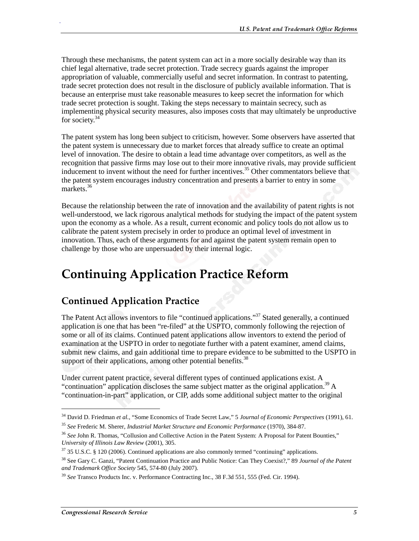Through these mechanisms, the patent system can act in a more socially desirable way than its chief legal alternative, trade secret protection. Trade secrecy guards against the improper appropriation of valuable, commercially useful and secret information. In contrast to patenting, trade secret protection does not result in the disclosure of publicly available information. That is because an enterprise must take reasonable measures to keep secret the information for which trade secret protection is sought. Taking the steps necessary to maintain secrecy, such as implementing physical security measures, also imposes costs that may ultimately be unproductive for society.<sup>34</sup>

The patent system has long been subject to criticism, however. Some observers have asserted that the patent system is unnecessary due to market forces that already suffice to create an optimal level of innovation. The desire to obtain a lead time advantage over competitors, as well as the recognition that passive firms may lose out to their more innovative rivals, may provide sufficient inducement to invent without the need for further incentives.<sup>35</sup> Other commentators believe that the patent system encourages industry concentration and presents a barrier to entry in some markets.<sup>36</sup>

Because the relationship between the rate of innovation and the availability of patent rights is not well-understood, we lack rigorous analytical methods for studying the impact of the patent system upon the economy as a whole. As a result, current economic and policy tools do not allow us to calibrate the patent system precisely in order to produce an optimal level of investment in innovation. Thus, each of these arguments for and against the patent system remain open to challenge by those who are unpersuaded by their internal logic.

# **Continuing Application Practice Reform**

#### **Continued Application Practice**

The Patent Act allows inventors to file "continued applications."<sup>37</sup> Stated generally, a continued application is one that has been "re-filed" at the USPTO, commonly following the rejection of some or all of its claims. Continued patent applications allow inventors to extend the period of examination at the USPTO in order to negotiate further with a patent examiner, amend claims, submit new claims, and gain additional time to prepare evidence to be submitted to the USPTO in support of their applications, among other potential benefits.<sup>38</sup>

Under current patent practice, several different types of continued applications exist. A "continuation" application discloses the same subject matter as the original application.<sup>39</sup> A "continuation-in-part" application, or CIP, adds some additional subject matter to the original

j

<sup>34</sup> David D. Friedman *et al.*, "Some Economics of Trade Secret Law," 5 *Journal of Economic Perspectives* (1991), 61.

<sup>35</sup> *See* Frederic M. Sherer, *Industrial Market Structure and Economic Performance* (1970), 384-87.

<sup>36</sup> *See* John R. Thomas, "Collusion and Collective Action in the Patent System: A Proposal for Patent Bounties," *University of Illinois Law Review* (2001), 305.

 $37$  35 U.S.C. § 120 (2006). Continued applications are also commonly termed "continuing" applications.

<sup>38</sup> See Gary C. Ganzi, "Patent Continuation Practice and Public Notice: Can They Coexist?," 89 *Journal of the Patent and Trademark Office Society* 545, 574-80 (July 2007).

<sup>39</sup> *See* Transco Products Inc. v. Performance Contracting Inc., 38 F.3d 551, 555 (Fed. Cir. 1994).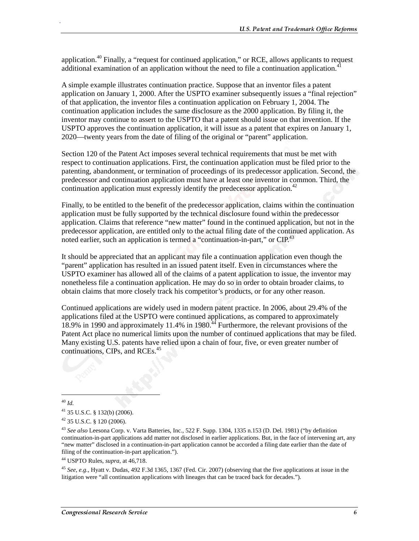application.<sup>40</sup> Finally, a "request for continued application," or RCE, allows applicants to request additional examination of an application without the need to file a continuation application.<sup>41</sup>

A simple example illustrates continuation practice. Suppose that an inventor files a patent application on January 1, 2000. After the USPTO examiner subsequently issues a "final rejection" of that application, the inventor files a continuation application on February 1, 2004. The continuation application includes the same disclosure as the 2000 application. By filing it, the inventor may continue to assert to the USPTO that a patent should issue on that invention. If the USPTO approves the continuation application, it will issue as a patent that expires on January 1, 2020—twenty years from the date of filing of the original or "parent" application.

Section 120 of the Patent Act imposes several technical requirements that must be met with respect to continuation applications. First, the continuation application must be filed prior to the patenting, abandonment, or termination of proceedings of its predecessor application. Second, the predecessor and continuation application must have at least one inventor in common. Third, the continuation application must expressly identify the predecessor application.<sup>42</sup>

Finally, to be entitled to the benefit of the predecessor application, claims within the continuation application must be fully supported by the technical disclosure found within the predecessor application. Claims that reference "new matter" found in the continued application, but not in the predecessor application, are entitled only to the actual filing date of the continued application. As noted earlier, such an application is termed a "continuation-in-part," or  $\text{CIP}^{43}$ 

It should be appreciated that an applicant may file a continuation application even though the "parent" application has resulted in an issued patent itself. Even in circumstances where the USPTO examiner has allowed all of the claims of a patent application to issue, the inventor may nonetheless file a continuation application. He may do so in order to obtain broader claims, to obtain claims that more closely track his competitor's products, or for any other reason.

Continued applications are widely used in modern patent practice. In 2006, about 29.4% of the applications filed at the USPTO were continued applications, as compared to approximately 18.9% in 1990 and approximately 11.4% in 1980.<sup>44</sup> Furthermore, the relevant provisions of the Patent Act place no numerical limits upon the number of continued applications that may be filed. Many existing U.S. patents have relied upon a chain of four, five, or even greater number of continuations, CIPs, and RCEs.<sup>45</sup>

j <sup>40</sup> *Id.*

.

44 USPTO Rules, *supra*, at 46,718.

<sup>45</sup> *See, e.g.,* Hyatt v. Dudas, 492 F.3d 1365, 1367 (Fed. Cir. 2007) (observing that the five applications at issue in the litigation were "all continuation applications with lineages that can be traced back for decades.").

<sup>41 35</sup> U.S.C. § 132(b) (2006).

<sup>42 35</sup> U.S.C. § 120 (2006).

<sup>43</sup> *See also* Leesona Corp. v. Varta Batteries, Inc., 522 F. Supp. 1304, 1335 n.153 (D. Del. 1981) ("by definition continuation-in-part applications add matter not disclosed in earlier applications. But, in the face of intervening art, any "new matter" disclosed in a continuation-in-part application cannot be accorded a filing date earlier than the date of filing of the continuation-in-part application.").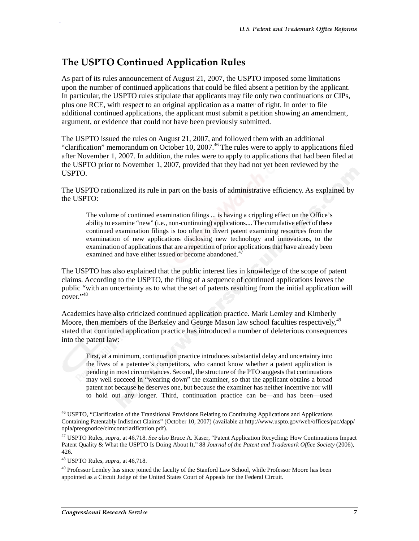#### The USPTO Continued Application Rules

As part of its rules announcement of August 21, 2007, the USPTO imposed some limitations upon the number of continued applications that could be filed absent a petition by the applicant. In particular, the USPTO rules stipulate that applicants may file only two continuations or CIPs, plus one RCE, with respect to an original application as a matter of right. In order to file additional continued applications, the applicant must submit a petition showing an amendment, argument, or evidence that could not have been previously submitted.

The USPTO issued the rules on August 21, 2007, and followed them with an additional "clarification" memorandum on October 10, 2007.<sup>46</sup> The rules were to apply to applications filed after November 1, 2007. In addition, the rules were to apply to applications that had been filed at the USPTO prior to November 1, 2007, provided that they had not yet been reviewed by the USPTO.

The USPTO rationalized its rule in part on the basis of administrative efficiency. As explained by the USPTO:

The volume of continued examination filings ... is having a crippling effect on the Office's ability to examine "new" (i.e., non-continuing) applications.... The cumulative effect of these continued examination filings is too often to divert patent examining resources from the examination of new applications disclosing new technology and innovations, to the examination of applications that are a repetition of prior applications that have already been examined and have either issued or become abandoned.<sup>4</sup>

The USPTO has also explained that the public interest lies in knowledge of the scope of patent claims. According to the USPTO, the filing of a sequence of continued applications leaves the public "with an uncertainty as to what the set of patents resulting from the initial application will  $cover.$ <sup>48</sup>

Academics have also criticized continued application practice. Mark Lemley and Kimberly Moore, then members of the Berkeley and George Mason law school faculties respectively,<sup>49</sup> stated that continued application practice has introduced a number of deleterious consequences into the patent law:

First, at a minimum, continuation practice introduces substantial delay and uncertainty into the lives of a patentee's competitors, who cannot know whether a patent application is pending in most circumstances. Second, the structure of the PTO suggests that continuations may well succeed in "wearing down" the examiner, so that the applicant obtains a broad patent not because he deserves one, but because the examiner has neither incentive nor will to hold out any longer. Third, continuation practice can be—and has been—used

 $\overline{a}$ 

<sup>&</sup>lt;sup>46</sup> USPTO, "Clarification of the Transitional Provisions Relating to Continuing Applications and Applications Containing Patentably Indistinct Claims" (October 10, 2007) (available at http://www.uspto.gov/web/offices/pac/dapp/ opla/preognotice/clmcontclarification.pdf).

<sup>47</sup> USPTO Rules, *supra*, at 46,718. *See also* Bruce A. Kaser, "Patent Application Recycling: How Continuations Impact Patent Quality & What the USPTO Is Doing About It," 88 *Journal of the Patent and Trademark Office Society* (2006), 426.

<sup>48</sup> USPTO Rules, *supra*, at 46,718.

<sup>&</sup>lt;sup>49</sup> Professor Lemley has since joined the faculty of the Stanford Law School, while Professor Moore has been appointed as a Circuit Judge of the United States Court of Appeals for the Federal Circuit.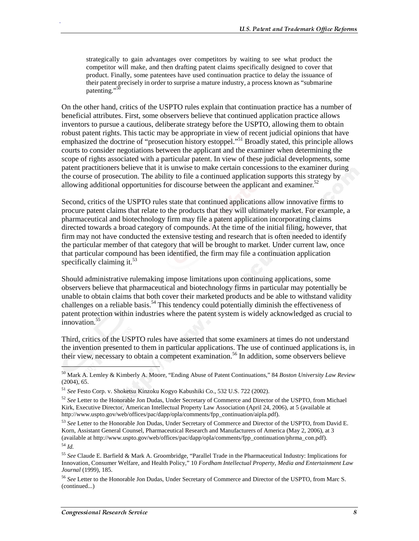strategically to gain advantages over competitors by waiting to see what product the competitor will make, and then drafting patent claims specifically designed to cover that product. Finally, some patentees have used continuation practice to delay the issuance of their patent precisely in order to surprise a mature industry, a process known as "submarine patenting."<sup>50</sup>

On the other hand, critics of the USPTO rules explain that continuation practice has a number of beneficial attributes. First, some observers believe that continued application practice allows inventors to pursue a cautious, deliberate strategy before the USPTO, allowing them to obtain robust patent rights. This tactic may be appropriate in view of recent judicial opinions that have emphasized the doctrine of "prosecution history estoppel."<sup>51</sup> Broadly stated, this principle allows courts to consider negotiations between the applicant and the examiner when determining the scope of rights associated with a particular patent. In view of these judicial developments, some patent practitioners believe that it is unwise to make certain concessions to the examiner during the course of prosecution. The ability to file a continued application supports this strategy by allowing additional opportunities for discourse between the applicant and examiner.<sup>52</sup>

Second, critics of the USPTO rules state that continued applications allow innovative firms to procure patent claims that relate to the products that they will ultimately market. For example, a pharmaceutical and biotechnology firm may file a patent application incorporating claims directed towards a broad category of compounds. At the time of the initial filing, however, that firm may not have conducted the extensive testing and research that is often needed to identify the particular member of that category that will be brought to market. Under current law, once that particular compound has been identified, the firm may file a continuation application specifically claiming it. $53$ 

Should administrative rulemaking impose limitations upon continuing applications, some observers believe that pharmaceutical and biotechnology firms in particular may potentially be unable to obtain claims that both cover their marketed products and be able to withstand validity challenges on a reliable basis.<sup>54</sup> This tendency could potentially diminish the effectiveness of patent protection within industries where the patent system is widely acknowledged as crucial to  $innovation.<sup>55</sup>$ 

Third, critics of the USPTO rules have asserted that some examiners at times do not understand the invention presented to them in particular applications. The use of continued applications is, in their view, necessary to obtain a competent examination.<sup>56</sup> In addition, some observers believe

l

<sup>50</sup> Mark A. Lemley & Kimberly A. Moore, "Ending Abuse of Patent Continuations," 84 *Boston University Law Review* (2004), 65.

<sup>51</sup> *See* Festo Corp. v. Shoketsu Kinzoku Kogyo Kabushiki Co., 532 U.S. 722 (2002).

<sup>52</sup> *See* Letter to the Honorable Jon Dudas, Under Secretary of Commerce and Director of the USPTO, from Michael Kirk, Executive Director, American Intellectual Property Law Association (April 24, 2006), at 5 (available at http://www.uspto.gov/web/offices/pac/dapp/opla/comments/fpp\_continuation/aipla.pdf).

<sup>53</sup> *See* Letter to the Honorable Jon Dudas, Under Secretary of Commerce and Director of the USPTO, from David E. Korn, Assistant General Counsel, Pharmaceutical Research and Manufacturers of America (May 2, 2006), at 3 (available at http://www.uspto.gov/web/offices/pac/dapp/opla/comments/fpp\_continuation/phrma\_con.pdf). <sup>54</sup> *Id.*

<sup>55</sup> *See* Claude E. Barfield & Mark A. Groombridge, "Parallel Trade in the Pharmaceutical Industry: Implications for Innovation, Consumer Welfare, and Health Policy," 10 *Fordham Intellectual Property, Media and Entertainment Law Journal* (1999), 185.

<sup>56</sup> *See* Letter to the Honorable Jon Dudas, Under Secretary of Commerce and Director of the USPTO, from Marc S. (continued...)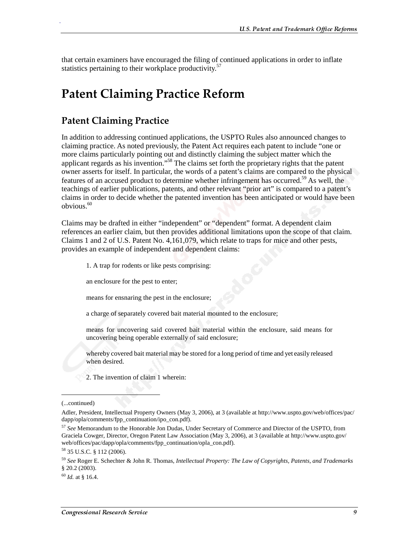that certain examiners have encouraged the filing of continued applications in order to inflate statistics pertaining to their workplace productivity.<sup>57</sup>

### **Patent Claiming Practice Reform**

#### **Patent Claiming Practice**

.

In addition to addressing continued applications, the USPTO Rules also announced changes to claiming practice. As noted previously, the Patent Act requires each patent to include "one or more claims particularly pointing out and distinctly claiming the subject matter which the applicant regards as his invention."58 The claims set forth the proprietary rights that the patent owner asserts for itself. In particular, the words of a patent's claims are compared to the physical features of an accused product to determine whether infringement has occurred.<sup>59</sup> As well, the teachings of earlier publications, patents, and other relevant "prior art" is compared to a patent's claims in order to decide whether the patented invention has been anticipated or would have been  $obvious.<sup>60</sup>$ 

Claims may be drafted in either "independent" or "dependent" format. A dependent claim references an earlier claim, but then provides additional limitations upon the scope of that claim. Claims 1 and 2 of U.S. Patent No. 4,161,079, which relate to traps for mice and other pests, provides an example of independent and dependent claims:

1. A trap for rodents or like pests comprising:

an enclosure for the pest to enter;

means for ensnaring the pest in the enclosure;

a charge of separately covered bait material mounted to the enclosure;

means for uncovering said covered bait material within the enclosure, said means for uncovering being operable externally of said enclosure;

whereby covered bait material may be stored for a long period of time and yet easily released when desired.

2. The invention of claim 1 wherein:

j

<sup>(...</sup>continued)

Adler, President, Intellectual Property Owners (May 3, 2006), at 3 (available at http://www.uspto.gov/web/offices/pac/ dapp/opla/comments/fpp\_continuation/ipo\_con.pdf).

<sup>57</sup> *See* Memorandum to the Honorable Jon Dudas, Under Secretary of Commerce and Director of the USPTO, from Graciela Cowger, Director, Oregon Patent Law Association (May 3, 2006), at 3 (available at http://www.uspto.gov/ web/offices/pac/dapp/opla/comments/fpp\_continuation/opla\_con.pdf).

<sup>58 35</sup> U.S.C. § 112 (2006).

<sup>59</sup> *See* Roger E. Schechter & John R. Thomas, *Intellectual Property: The Law of Copyrights, Patents, and Trademarks* § 20.2 (2003).

 $^{60}$  *Id.* at § 16.4.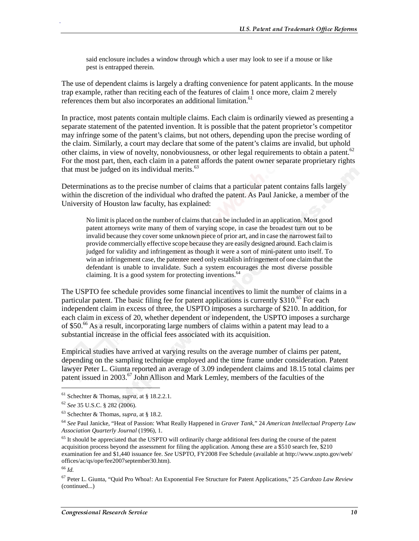said enclosure includes a window through which a user may look to see if a mouse or like pest is entrapped therein.

The use of dependent claims is largely a drafting convenience for patent applicants. In the mouse trap example, rather than reciting each of the features of claim 1 once more, claim 2 merely references them but also incorporates an additional limitation.<sup>61</sup>

In practice, most patents contain multiple claims. Each claim is ordinarily viewed as presenting a separate statement of the patented invention. It is possible that the patent proprietor's competitor may infringe some of the patent's claims, but not others, depending upon the precise wording of the claim. Similarly, a court may declare that some of the patent's claims are invalid, but uphold other claims, in view of novelty, nonobviousness, or other legal requirements to obtain a patent.<sup>62</sup> For the most part, then, each claim in a patent affords the patent owner separate proprietary rights that must be judged on its individual merits. $63$ 

Determinations as to the precise number of claims that a particular patent contains falls largely within the discretion of the individual who drafted the patent. As Paul Janicke, a member of the University of Houston law faculty, has explained:

No limit is placed on the number of claims that can be included in an application. Most good patent attorneys write many of them of varying scope, in case the broadest turn out to be invalid because they cover some unknown piece of prior art, and in case the narrowest fail to provide commercially effective scope because they are easily designed around. Each claim is judged for validity and infringement as though it were a sort of mini-patent unto itself. To win an infringement case, the patentee need only establish infringement of one claim that the defendant is unable to invalidate. Such a system encourages the most diverse possible claiming. It is a good system for protecting inventions.  $64$ 

The USPTO fee schedule provides some financial incentives to limit the number of claims in a particular patent. The basic filing fee for patent applications is currently \$310.<sup>65</sup> For each independent claim in excess of three, the USPTO imposes a surcharge of \$210. In addition, for each claim in excess of 20, whether dependent or independent, the USPTO imposes a surcharge of \$50.66 As a result, incorporating large numbers of claims within a patent may lead to a substantial increase in the official fees associated with its acquisition.

Empirical studies have arrived at varying results on the average number of claims per patent, depending on the sampling technique employed and the time frame under consideration. Patent lawyer Peter L. Giunta reported an average of 3.09 independent claims and 18.15 total claims per patent issued in 2003.<sup>67</sup> John Allison and Mark Lemley, members of the faculties of the

 $\overline{a}$ 

<sup>61</sup> Schechter & Thomas, *supra*, at § 18.2.2.1.

<sup>62</sup> *See* 35 U.S.C. § 282 (2006).

<sup>63</sup> Schechter & Thomas, *supra*, at § 18.2.

<sup>64</sup> *See* Paul Janicke, "Heat of Passion: What Really Happened in *Graver Tank*," 24 *American Intellectual Property Law Association Quarterly Journal* (1996), 1.

<sup>&</sup>lt;sup>65</sup> It should be appreciated that the USPTO will ordinarily charge additional fees during the course of the patent acquisition process beyond the assessment for filing the application. Among these are a \$510 search fee, \$210 examination fee and \$1,440 issuance fee. *See* USPTO, FY2008 Fee Schedule (available at http://www.uspto.gov/web/ offices/ac/qs/ope/fee2007september30.htm).

<sup>66</sup> *Id.*

<sup>67</sup> Peter L. Giunta, "Quid Pro Whoa!: An Exponential Fee Structure for Patent Applications," 25 *Cardozo Law Review* (continued...)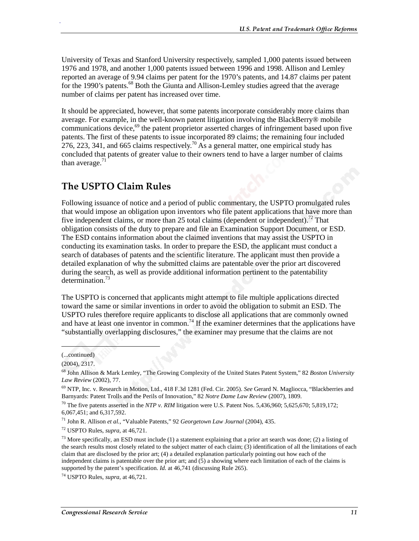University of Texas and Stanford University respectively, sampled 1,000 patents issued between 1976 and 1978, and another 1,000 patents issued between 1996 and 1998. Allison and Lemley reported an average of 9.94 claims per patent for the 1970's patents, and 14.87 claims per patent for the 1990's patents.<sup>68</sup> Both the Giunta and Allison-Lemley studies agreed that the average number of claims per patent has increased over time.

It should be appreciated, however, that some patents incorporate considerably more claims than average. For example, in the well-known patent litigation involving the BlackBerry® mobile communications device,  $^{69}$  the patent proprietor asserted charges of infringement based upon five patents. The first of these patents to issue incorporated 89 claims; the remaining four included 276, 223, 341, and 665 claims respectively.<sup>70</sup> As a general matter, one empirical study has concluded that patents of greater value to their owners tend to have a larger number of claims than average. $71$ 

#### **The USPTO Claim Rules**

Following issuance of notice and a period of public commentary, the USPTO promulgated rules that would impose an obligation upon inventors who file patent applications that have more than five independent claims, or more than 25 total claims (dependent or independent).<sup>72</sup> That obligation consists of the duty to prepare and file an Examination Support Document, or ESD. The ESD contains information about the claimed inventions that may assist the USPTO in conducting its examination tasks. In order to prepare the ESD, the applicant must conduct a search of databases of patents and the scientific literature. The applicant must then provide a detailed explanation of why the submitted claims are patentable over the prior art discovered during the search, as well as provide additional information pertinent to the patentability determination.<sup>73</sup>

The USPTO is concerned that applicants might attempt to file multiple applications directed toward the same or similar inventions in order to avoid the obligation to submit an ESD. The USPTO rules therefore require applicants to disclose all applications that are commonly owned and have at least one inventor in common.<sup>74</sup> If the examiner determines that the applications have "substantially overlapping disclosures," the examiner may presume that the claims are not

 $\overline{\phantom{a}}$ 

<sup>(...</sup>continued)

<sup>(2004), 2317.</sup> 

<sup>68</sup> John Allison & Mark Lemley, "The Growing Complexity of the United States Patent System," 82 *Boston University Law Review* (2002), 77.

<sup>69</sup> NTP, Inc. v. Research in Motion, Ltd., 418 F.3d 1281 (Fed. Cir. 2005). *See* Gerard N. Magliocca, "Blackberries and Barnyards: Patent Trolls and the Perils of Innovation," 82 *Notre Dame Law Review* (2007), 1809.

<sup>70</sup> The five patents asserted in the *NTP v. RIM* litigation were U.S. Patent Nos. 5,436,960; 5,625,670; 5,819,172; 6,067,451; and 6,317,592.

<sup>71</sup> John R. Allison *et al.*, "Valuable Patents," 92 *Georgetown Law Journal* (2004), 435.

<sup>72</sup> USPTO Rules, *supra*, at 46,721.

 $^{73}$  More specifically, an ESD must include (1) a statement explaining that a prior art search was done; (2) a listing of the search results most closely related to the subject matter of each claim; (3) identification of all the limitations of each claim that are disclosed by the prior art; (4) a detailed explanation particularly pointing out how each of the independent claims is patentable over the prior art; and  $(5)$  a showing where each limitation of each of the claims is supported by the patent's specification. *Id.* at 46,741 (discussing Rule 265).

<sup>74</sup> USPTO Rules, *supra*, at 46,721.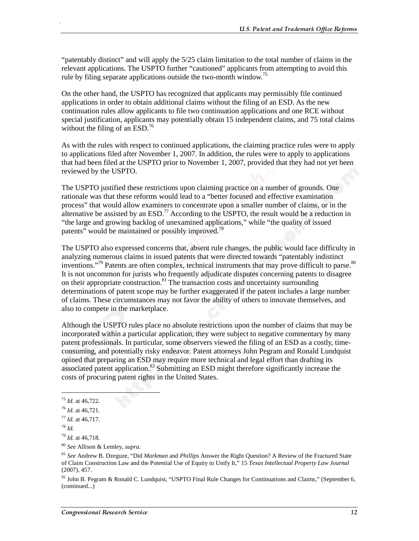"patentably distinct" and will apply the 5/25 claim limitation to the total number of claims in the relevant applications. The USPTO further "cautioned" applicants from attempting to avoid this rule by filing separate applications outside the two-month window.<sup>75</sup>

On the other hand, the USPTO has recognized that applicants may permissibly file continued applications in order to obtain additional claims without the filing of an ESD. As the new continuation rules allow applicants to file two continuation applications and one RCE without special justification, applicants may potentially obtain 15 independent claims, and 75 total claims without the filing of an  $ESD<sup>76</sup>$ 

As with the rules with respect to continued applications, the claiming practice rules were to apply to applications filed after November 1, 2007. In addition, the rules were to apply to applications that had been filed at the USPTO prior to November 1, 2007, provided that they had not yet been reviewed by the USPTO.

The USPTO justified these restrictions upon claiming practice on a number of grounds. One rationale was that these reforms would lead to a "better focused and effective examination process" that would allow examiners to concentrate upon a smaller number of claims, or in the alternative be assisted by an  $ESD<sup>77</sup>$  According to the USPTO, the result would be a reduction in "the large and growing backlog of unexamined applications," while "the quality of issued patents" would be maintained or possibly improved.<sup>78</sup>

The USPTO also expressed concerns that, absent rule changes, the public would face difficulty in analyzing numerous claims in issued patents that were directed towards "patentably indistinct inventions."<sup>79</sup> Patents are often complex, technical instruments that may prove difficult to parse.<sup>80</sup> It is not uncommon for jurists who frequently adjudicate disputes concerning patents to disagree on their appropriate construction.<sup>81</sup> The transaction costs and uncertainty surrounding determinations of patent scope may be further exaggerated if the patent includes a large number of claims. These circumstances may not favor the ability of others to innovate themselves, and also to compete in the marketplace.

Although the USPTO rules place no absolute restrictions upon the number of claims that may be incorporated within a particular application, they were subject to negative commentary by many patent professionals. In particular, some observers viewed the filing of an ESD as a costly, timeconsuming, and potentially risky endeavor. Patent attorneys John Pegram and Ronald Lundquist opined that preparing an ESD may require more technical and legal effort than drafting its associated patent application.<sup>82</sup> Submitting an ESD might therefore significantly increase the costs of procuring patent rights in the United States.

j

<sup>75</sup> *Id.* at 46,722.

<sup>76</sup> *Id.* at 46,721.

<sup>77</sup> *Id.* at 46,717.

<sup>78</sup> *Id.*

<sup>79</sup> *Id.* at 46,718.

<sup>80</sup> *See* Allison & Lemley, *supra*.

<sup>81</sup> *See* Andrew B. Dzeguze, "Did *Markman* and *Phillips* Answer the Right Question? A Review of the Fractured State of Claim Construction Law and the Potential Use of Equity to Unify It," 15 *Texas Intellectual Property Law Journal* (2007), 457.

<sup>&</sup>lt;sup>82</sup> John B. Pegram & Ronald C. Lundquist, "USPTO Final Rule Changes for Continuations and Claims," (September 6, (continued...)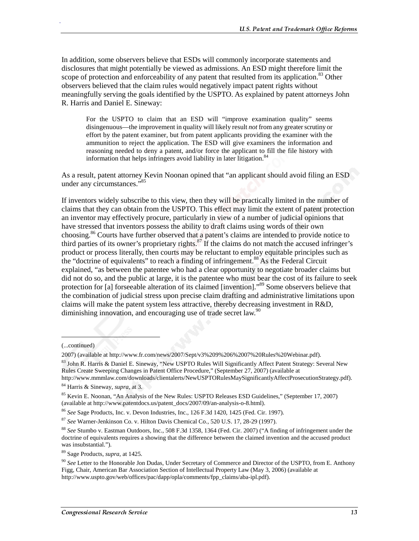In addition, some observers believe that ESDs will commonly incorporate statements and disclosures that might potentially be viewed as admissions. An ESD might therefore limit the scope of protection and enforceability of any patent that resulted from its application.<sup>83</sup> Other observers believed that the claim rules would negatively impact patent rights without meaningfully serving the goals identified by the USPTO. As explained by patent attorneys John R. Harris and Daniel E. Sineway:

For the USPTO to claim that an ESD will "improve examination quality" seems disingenuous—the improvement in quality will likely result *not* from any greater scrutiny or effort by the patent examiner, but from patent applicants providing the examiner with the ammunition to reject the application. The ESD will give examiners the information and reasoning needed to deny a patent, and/or force the applicant to fill the file history with information that helps infringers avoid liability in later litigation.<sup>8</sup>

As a result, patent attorney Kevin Noonan opined that "an applicant should avoid filing an ESD under any circumstances."85

If inventors widely subscribe to this view, then they will be practically limited in the number of claims that they can obtain from the USPTO. This effect may limit the extent of patent protection an inventor may effectively procure, particularly in view of a number of judicial opinions that have stressed that inventors possess the ability to draft claims using words of their own choosing.<sup>86</sup> Courts have further observed that a patent's claims are intended to provide notice to third parties of its owner's proprietary rights.<sup>87</sup> If the claims do not match the accused infringer's product or process literally, then courts may be reluctant to employ equitable principles such as the "doctrine of equivalents" to reach a finding of infringement.<sup>88</sup> As the Federal Circuit explained, "as between the patentee who had a clear opportunity to negotiate broader claims but did not do so, and the public at large, it is the patentee who must bear the cost of its failure to seek protection for [a] forseeable alteration of its claimed [invention]."<sup>89</sup> Some observers believe that the combination of judicial stress upon precise claim drafting and administrative limitations upon claims will make the patent system less attractive, thereby decreasing investment in R&D, diminishing innovation, and encouraging use of trade secret law.<sup>90</sup>

 $\overline{a}$ 

<sup>(...</sup>continued)

<sup>2007) (</sup>available at http://www.fr.com/news/2007/Sept/v3%209%206%2007%20Rules%20Webinar.pdf).

<sup>83</sup> John R. Harris & Daniel E. Sineway, "New USPTO Rules Will Significantly Affect Patent Strategy: Several New Rules Create Sweeping Changes in Patent Office Procedure," (September 27, 2007) (available at

http://www.mmmlaw.com/downloads/clientalerts/NewUSPTORulesMaySignificantlyAffectProsecutionStrategy.pdf). 84 Harris & Sineway, *supra*, at 3.

<sup>85</sup> Kevin E. Noonan, "An Analysis of the New Rules: USPTO Releases ESD Guidelines," (September 17, 2007) (available at http://www.patentdocs.us/patent\_docs/2007/09/an-analysis-o-8.html).

<sup>86</sup> *See* Sage Products, Inc. v. Devon Industries, Inc., 126 F.3d 1420, 1425 (Fed. Cir. 1997).

<sup>87</sup> *See* Warner-Jenkinson Co. v. Hilton Davis Chemical Co., 520 U.S. 17, 28-29 (1997).

<sup>88</sup> *See* Stumbo v. Eastman Outdoors, Inc., 508 F.3d 1358, 1364 (Fed. Cir. 2007) ("A finding of infringement under the doctrine of equivalents requires a showing that the difference between the claimed invention and the accused product was insubstantial.").

<sup>89</sup> Sage Products, *supra*, at 1425.

<sup>90</sup> *See* Letter to the Honorable Jon Dudas, Under Secretary of Commerce and Director of the USPTO, from E. Anthony Figg, Chair, American Bar Association Section of Intellectual Property Law (May 3, 2006) (available at http://www.uspto.gov/web/offices/pac/dapp/opla/comments/fpp\_claims/aba-ipl.pdf).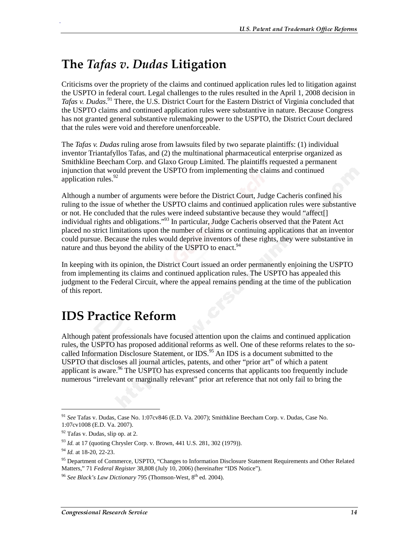## The *Tafas v. Dudas* Litigation

Criticisms over the propriety of the claims and continued application rules led to litigation against the USPTO in federal court. Legal challenges to the rules resulted in the April 1, 2008 decision in Tafas v. Dudas.<sup>91</sup> There, the U.S. District Court for the Eastern District of Virginia concluded that the USPTO claims and continued application rules were substantive in nature. Because Congress has not granted general substantive rulemaking power to the USPTO, the District Court declared that the rules were void and therefore unenforceable.

The *Tafas v. Dudas* ruling arose from lawsuits filed by two separate plaintiffs: (1) individual inventor Triantafyllos Tafas, and (2) the multinational pharmaceutical enterprise organized as Smithkline Beecham Corp. and Glaxo Group Limited. The plaintiffs requested a permanent injunction that would prevent the USPTO from implementing the claims and continued application rules.<sup>92</sup>

Although a number of arguments were before the District Court, Judge Cacheris confined his ruling to the issue of whether the USPTO claims and continued application rules were substantive or not. He concluded that the rules were indeed substantive because they would "affect[] individual rights and obligations."93 In particular, Judge Cacheris observed that the Patent Act placed no strict limitations upon the number of claims or continuing applications that an inventor could pursue. Because the rules would deprive inventors of these rights, they were substantive in nature and thus beyond the ability of the USPTO to enact.<sup>94</sup>

In keeping with its opinion, the District Court issued an order permanently enjoining the USPTO from implementing its claims and continued application rules. The USPTO has appealed this judgment to the Federal Circuit, where the appeal remains pending at the time of the publication of this report.

# **IDS Practice Reform**

Although patent professionals have focused attention upon the claims and continued application rules, the USPTO has proposed additional reforms as well. One of these reforms relates to the socalled Information Disclosure Statement, or IDS.<sup>95</sup> An IDS is a document submitted to the USPTO that discloses all journal articles, patents, and other "prior art" of which a patent applicant is aware.<sup>96</sup> The USPTO has expressed concerns that applicants too frequently include numerous "irrelevant or marginally relevant" prior art reference that not only fail to bring the

 $\overline{a}$ 

<sup>91</sup> *See* Tafas v. Dudas, Case No. 1:07cv846 (E.D. Va. 2007); Smithkline Beecham Corp. v. Dudas, Case No. 1:07cv1008 (E.D. Va. 2007).

 $92$  Tafas v. Dudas, slip op. at 2.

<sup>&</sup>lt;sup>93</sup> *Id.* at 17 (quoting Chrysler Corp. v. Brown, 441 U.S. 281, 302 (1979)).

<sup>94</sup> *Id.* at 18-20, 22-23.

<sup>&</sup>lt;sup>95</sup> Department of Commerce, USPTO, "Changes to Information Disclosure Statement Requirements and Other Related Matters," 71 *Federal Register* 38,808 (July 10, 2006) (hereinafter "IDS Notice").

<sup>&</sup>lt;sup>96</sup> See Black's Law Dictionary 795 (Thomson-West, 8<sup>th</sup> ed. 2004).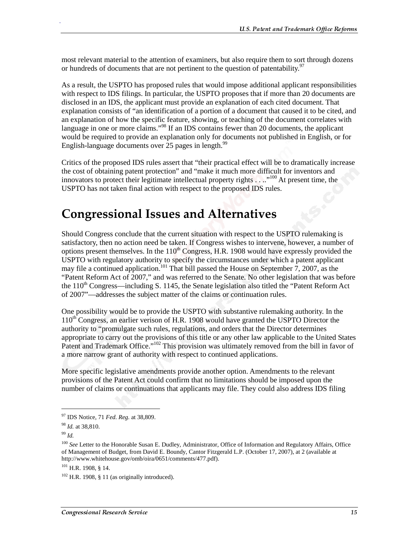most relevant material to the attention of examiners, but also require them to sort through dozens or hundreds of documents that are not pertinent to the question of patentability.<sup>97</sup>

As a result, the USPTO has proposed rules that would impose additional applicant responsibilities with respect to IDS filings. In particular, the USPTO proposes that if more than 20 documents are disclosed in an IDS, the applicant must provide an explanation of each cited document. That explanation consists of "an identification of a portion of a document that caused it to be cited, and an explanation of how the specific feature, showing, or teaching of the document correlates with language in one or more claims."<sup>98</sup> If an IDS contains fewer than 20 documents, the applicant would be required to provide an explanation only for documents not published in English, or for English-language documents over 25 pages in length. $99$ 

Critics of the proposed IDS rules assert that "their practical effect will be to dramatically increase the cost of obtaining patent protection" and "make it much more difficult for inventors and innovators to protect their legitimate intellectual property rights . . .."<sup>100</sup> At present time, the USPTO has not taken final action with respect to the proposed IDS rules.

# **Congressional Issues and Alternatives**

Should Congress conclude that the current situation with respect to the USPTO rulemaking is satisfactory, then no action need be taken. If Congress wishes to intervene, however, a number of options present themselves. In the  $110<sup>th</sup>$  Congress, H.R. 1908 would have expressly provided the USPTO with regulatory authority to specify the circumstances under which a patent applicant may file a continued application.<sup>101</sup> That bill passed the House on September 7, 2007, as the "Patent Reform Act of 2007," and was referred to the Senate. No other legislation that was before the  $110<sup>th</sup> Congress—including S. 1145, the Senate legislation also titled the "Patent Reform Act"$ of 2007"—addresses the subject matter of the claims or continuation rules.

One possibility would be to provide the USPTO with substantive rulemaking authority. In the  $110<sup>th</sup>$  Congress, an earlier verison of H.R. 1908 would have granted the USPTO Director the authority to "promulgate such rules, regulations, and orders that the Director determines appropriate to carry out the provisions of this title or any other law applicable to the United States Patent and Trademark Office."<sup>102</sup> This provision was ultimately removed from the bill in favor of a more narrow grant of authority with respect to continued applications.

More specific legislative amendments provide another option. Amendments to the relevant provisions of the Patent Act could confirm that no limitations should be imposed upon the number of claims or continuations that applicants may file. They could also address IDS filing

j

<sup>97</sup> IDS Notice, 71 *Fed. Reg.* at 38,809.

<sup>98</sup> *Id.* at 38,810.

<sup>99</sup> *Id.*

<sup>&</sup>lt;sup>100</sup> See Letter to the Honorable Susan E. Dudley, Administrator, Office of Information and Regulatory Affairs, Office of Management of Budget, from David E. Boundy, Cantor Fitzgerald L.P. (October 17, 2007), at 2 (available at http://www.whitehouse.gov/omb/oira/0651/comments/477.pdf).

 $101$  H.R. 1908, § 14.

 $102$  H.R. 1908, § 11 (as originally introduced).